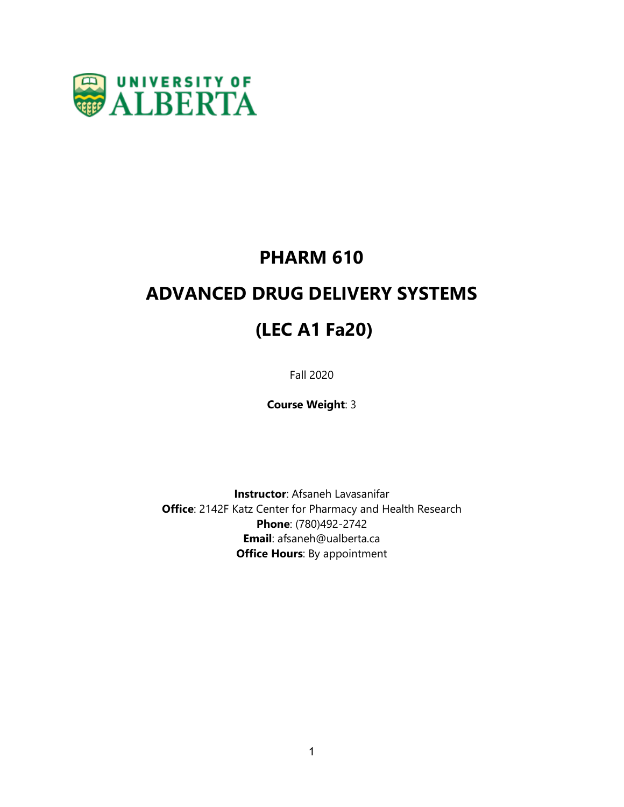

# **PHARM 610**

# **ADVANCED DRUG DELIVERY SYSTEMS**

# **(LEC A1 Fa20)**

Fall 2020

**Course Weight**: 3

**Instructor**: Afsaneh Lavasanifar **Office**: 2142F Katz Center for Pharmacy and Health Research **Phone**: (780)492-2742 **Email**: afsaneh@ualberta.ca **Office Hours**: By appointment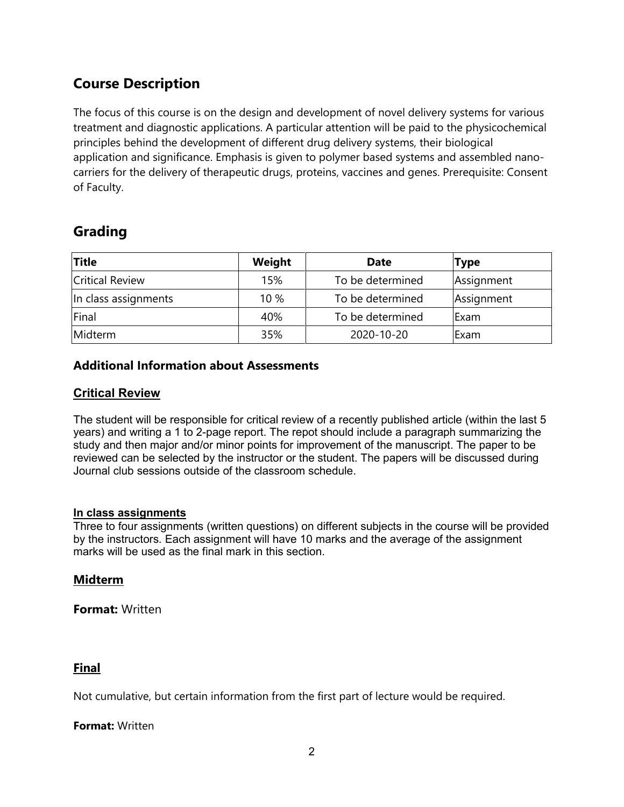# **Course Description**

The focus of this course is on the design and development of novel delivery systems for various treatment and diagnostic applications. A particular attention will be paid to the physicochemical principles behind the development of different drug delivery systems, their biological application and significance. Emphasis is given to polymer based systems and assembled nanocarriers for the delivery of therapeutic drugs, proteins, vaccines and genes. Prerequisite: Consent of Faculty.

# **Grading**

| <b>Title</b>           | Weight | <b>Date</b>      | <b>Type</b> |
|------------------------|--------|------------------|-------------|
| <b>Critical Review</b> | 15%    | To be determined | Assignment  |
| In class assignments   | 10 %   | To be determined | Assignment  |
| Final                  | 40%    | To be determined | Exam        |
| Midterm                | 35%    | 2020-10-20       | Exam        |

# **Additional Information about Assessments**

# **Critical Review**

The student will be responsible for critical review of a recently published article (within the last 5 years) and writing a 1 to 2-page report. The repot should include a paragraph summarizing the study and then major and/or minor points for improvement of the manuscript. The paper to be reviewed can be selected by the instructor or the student. The papers will be discussed during Journal club sessions outside of the classroom schedule.

#### **In class assignments**

Three to four assignments (written questions) on different subjects in the course will be provided by the instructors. Each assignment will have 10 marks and the average of the assignment marks will be used as the final mark in this section.

## **Midterm**

**Format:** Written

## **Final**

Not cumulative, but certain information from the first part of lecture would be required.

#### **Format:** Written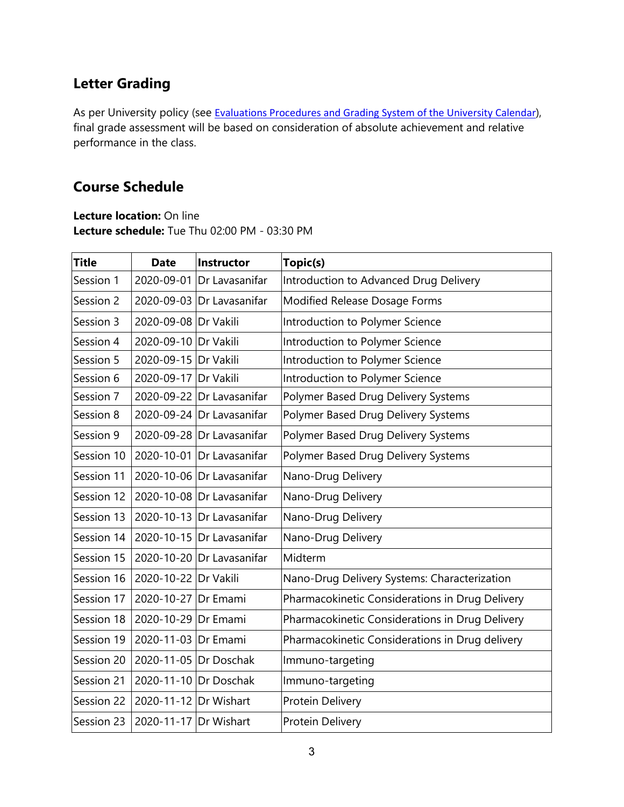# **Letter Grading**

As per University policy (see [Evaluations](http://calendar.ualberta.ca/content.php?catoid=6&navoid=806#course-requirements,-evaluation-procedures-and-grading) [Procedures](http://calendar.ualberta.ca/content.php?catoid=6&navoid=806#course-requirements,-evaluation-procedures-and-grading) [and](http://calendar.ualberta.ca/content.php?catoid=6&navoid=806#course-requirements,-evaluation-procedures-and-grading) [Grading](http://calendar.ualberta.ca/content.php?catoid=6&navoid=806#course-requirements,-evaluation-procedures-and-grading) [System](http://calendar.ualberta.ca/content.php?catoid=6&navoid=806#course-requirements,-evaluation-procedures-and-grading) [of](http://calendar.ualberta.ca/content.php?catoid=6&navoid=806#course-requirements,-evaluation-procedures-and-grading) [the](http://calendar.ualberta.ca/content.php?catoid=6&navoid=806#course-requirements,-evaluation-procedures-and-grading) [University](http://calendar.ualberta.ca/content.php?catoid=6&navoid=806#course-requirements,-evaluation-procedures-and-grading) [Calendar](http://calendar.ualberta.ca/content.php?catoid=6&navoid=806#course-requirements,-evaluation-procedures-and-grading)), final grade assessment will be based on consideration of absolute achievement and relative performance in the class.

# **Course Schedule**

**Lecture location:** On line **Lecture schedule:** Tue Thu 02:00 PM - 03:30 PM

| <b>Title</b> | <b>Date</b>           | Instructor                | Topic(s)                                        |
|--------------|-----------------------|---------------------------|-------------------------------------------------|
| Session 1    |                       | 2020-09-01 Dr Lavasanifar | Introduction to Advanced Drug Delivery          |
| Session 2    |                       | 2020-09-03 Dr Lavasanifar | Modified Release Dosage Forms                   |
| Session 3    | 2020-09-08 Dr Vakili  |                           | Introduction to Polymer Science                 |
| Session 4    | 2020-09-10 Dr Vakili  |                           | Introduction to Polymer Science                 |
| Session 5    | 2020-09-15 Dr Vakili  |                           | Introduction to Polymer Science                 |
| Session 6    | 2020-09-17 Dr Vakili  |                           | Introduction to Polymer Science                 |
| Session 7    |                       | 2020-09-22 Dr Lavasanifar | Polymer Based Drug Delivery Systems             |
| Session 8    |                       | 2020-09-24 Dr Lavasanifar | Polymer Based Drug Delivery Systems             |
| Session 9    |                       | 2020-09-28 Dr Lavasanifar | Polymer Based Drug Delivery Systems             |
| Session 10   |                       | 2020-10-01 Dr Lavasanifar | Polymer Based Drug Delivery Systems             |
| Session 11   |                       | 2020-10-06 Dr Lavasanifar | Nano-Drug Delivery                              |
| Session 12   |                       | 2020-10-08 Dr Lavasanifar | Nano-Drug Delivery                              |
| Session 13   |                       | 2020-10-13 Dr Lavasanifar | Nano-Drug Delivery                              |
| Session 14   |                       | 2020-10-15 Dr Lavasanifar | Nano-Drug Delivery                              |
| Session 15   |                       | 2020-10-20 Dr Lavasanifar | Midterm                                         |
| Session 16   | 2020-10-22 Dr Vakili  |                           | Nano-Drug Delivery Systems: Characterization    |
| Session 17   | 2020-10-27 Dr Emami   |                           | Pharmacokinetic Considerations in Drug Delivery |
| Session 18   | 2020-10-29 Dr Emami   |                           | Pharmacokinetic Considerations in Drug Delivery |
| Session 19   | 2020-11-03 Dr Emami   |                           | Pharmacokinetic Considerations in Drug delivery |
| Session 20   | 2020-11-05 Dr Doschak |                           | Immuno-targeting                                |
| Session 21   | 2020-11-10 Dr Doschak |                           | Immuno-targeting                                |
| Session 22   | 2020-11-12 Dr Wishart |                           | Protein Delivery                                |
| Session 23   | 2020-11-17 Dr Wishart |                           | Protein Delivery                                |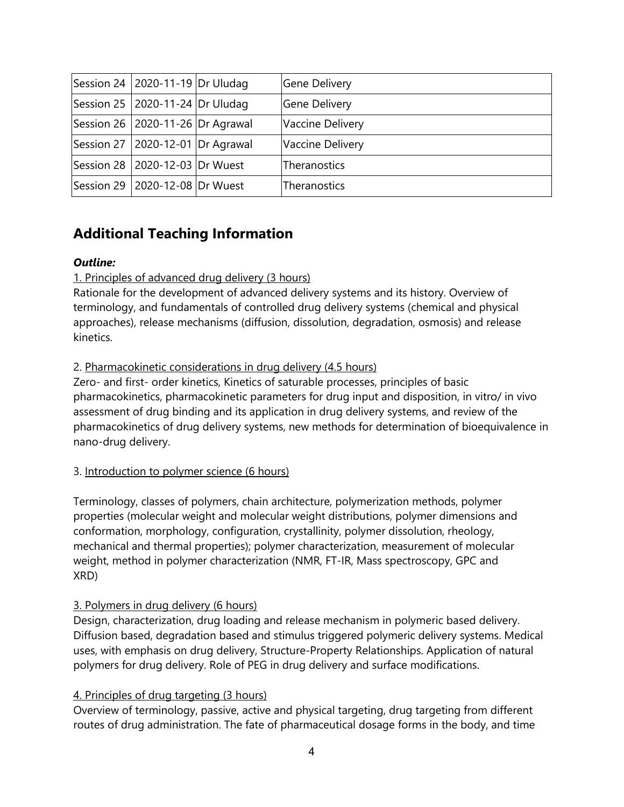| Session 24   2020-11-19   Dr Uludag  | <b>Gene Delivery</b> |
|--------------------------------------|----------------------|
| Session 25   2020-11-24   Dr Uludag  | <b>Gene Delivery</b> |
| Session 26   2020-11-26   Dr Agrawal | Vaccine Delivery     |
| Session 27   2020-12-01   Dr Agrawal | Vaccine Delivery     |
| Session 28   2020-12-03   Dr Wuest   | Theranostics         |
| Session 29   2020-12-08   Dr Wuest   | Theranostics         |

# **Additional Teaching Information**

## *Outline:*

## 1. Principles of advanced drug delivery (3 hours)

Rationale for the development of advanced delivery systems and its history. Overview of terminology, and fundamentals of controlled drug delivery systems (chemical and physical approaches), release mechanisms (diffusion, dissolution, degradation, osmosis) and release kinetics.

#### 2. Pharmacokinetic considerations in drug delivery (4.5 hours)

Zero- and first- order kinetics, Kinetics of saturable processes, principles of basic pharmacokinetics, pharmacokinetic parameters for drug input and disposition, in vitro/ in vivo assessment of drug binding and its application in drug delivery systems, and review of the pharmacokinetics of drug delivery systems, new methods for determination of bioequivalence in nano-drug delivery.

#### 3. Introduction to polymer science (6 hours)

Terminology, classes of polymers, chain architecture, polymerization methods, polymer properties (molecular weight and molecular weight distributions, polymer dimensions and conformation, morphology, configuration, crystallinity, polymer dissolution, rheology, mechanical and thermal properties); polymer characterization, measurement of molecular weight, method in polymer characterization (NMR, FT-IR, Mass spectroscopy, GPC and XRD)

#### 3. Polymers in drug delivery (6 hours)

Design, characterization, drug loading and release mechanism in polymeric based delivery. Diffusion based, degradation based and stimulus triggered polymeric delivery systems. Medical uses, with emphasis on drug delivery, Structure-Property Relationships. Application of natural polymers for drug delivery. Role of PEG in drug delivery and surface modifications.

## 4. Principles of drug targeting (3 hours)

Overview of terminology, passive, active and physical targeting, drug targeting from different routes of drug administration. The fate of pharmaceutical dosage forms in the body, and time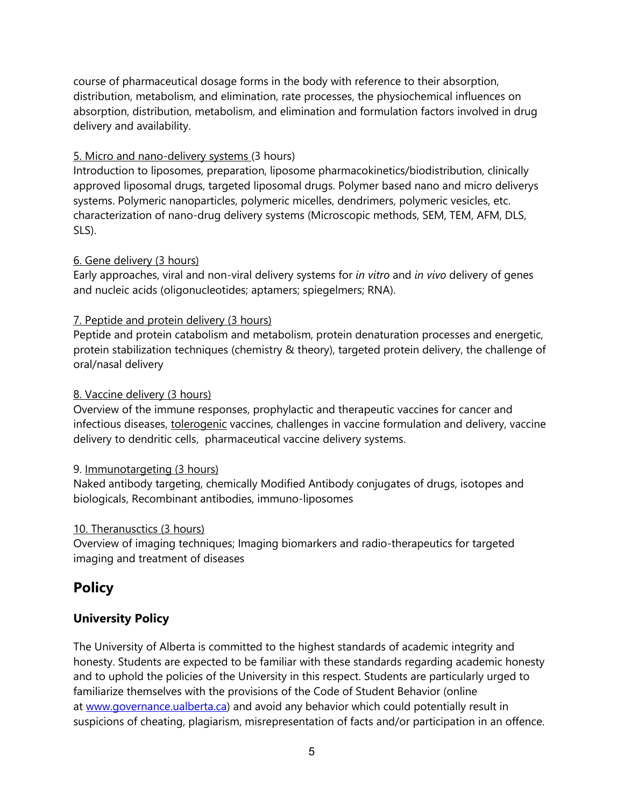course of pharmaceutical dosage forms in the body with reference to their absorption, distribution, metabolism, and elimination, rate processes, the physiochemical influences on absorption, distribution, metabolism, and elimination and formulation factors involved in drug delivery and availability.

## 5. Micro and nano-delivery systems (3 hours)

Introduction to liposomes, preparation, liposome pharmacokinetics/biodistribution, clinically approved liposomal drugs, targeted liposomal drugs. Polymer based nano and micro deliverys systems. Polymeric nanoparticles, polymeric micelles, dendrimers, polymeric vesicles, etc. characterization of nano-drug delivery systems (Microscopic methods, SEM, TEM, AFM, DLS, SLS).

#### 6. Gene delivery (3 hours)

Early approaches, viral and non-viral delivery systems for *in vitro* and *in vivo* delivery of genes and nucleic acids (oligonucleotides; aptamers; spiegelmers; RNA).

#### 7. Peptide and protein delivery (3 hours)

Peptide and protein catabolism and metabolism, protein denaturation processes and energetic, protein stabilization techniques (chemistry & theory), targeted protein delivery, the challenge of oral/nasal delivery

#### 8. Vaccine delivery (3 hours)

Overview of the immune responses, prophylactic and therapeutic vaccines for cancer and infectious diseases, tolerogenic vaccines, challenges in vaccine formulation and delivery, vaccine delivery to dendritic cells, pharmaceutical vaccine delivery systems.

#### 9. Immunotargeting (3 hours)

Naked antibody targeting, chemically Modified Antibody conjugates of drugs, isotopes and biologicals, Recombinant antibodies, immuno-liposomes

#### 10. Theranusctics (3 hours)

Overview of imaging techniques; Imaging biomarkers and radio-therapeutics for targeted imaging and treatment of diseases

# **Policy**

## **University Policy**

The University of Alberta is committed to the highest standards of academic integrity and honesty. Students are expected to be familiar with these standards regarding academic honesty and to uphold the policies of the University in this respect. Students are particularly urged to familiarize themselves with the provisions of the Code of Student Behavior (online at [www.governance.ualberta.ca\)](http://www.governance.ualberta.ca/) and avoid any behavior which could potentially result in suspicions of cheating, plagiarism, misrepresentation of facts and/or participation in an offence.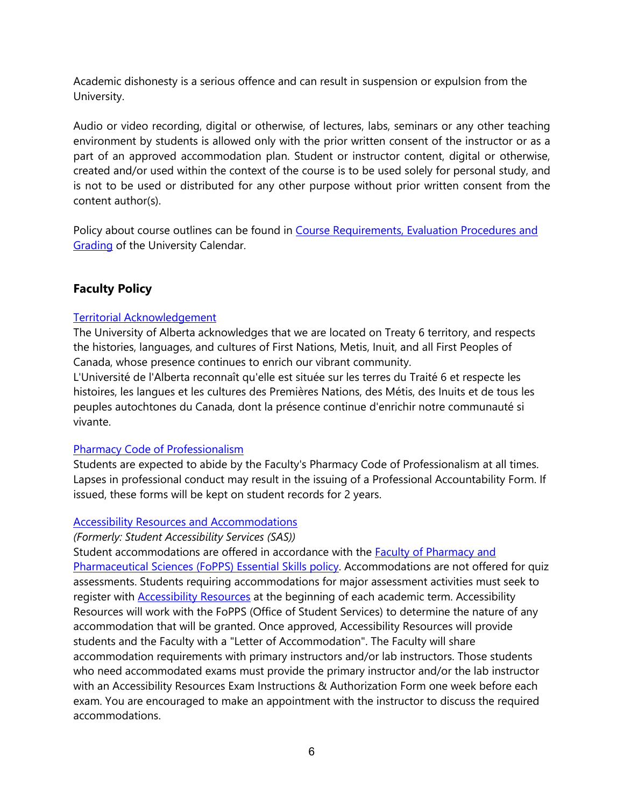Academic dishonesty is a serious offence and can result in suspension or expulsion from the University.

Audio or video recording, digital or otherwise, of lectures, labs, seminars or any other teaching environment by students is allowed only with the prior written consent of the instructor or as a part of an approved accommodation plan. Student or instructor content, digital or otherwise, created and/or used within the context of the course is to be used solely for personal study, and is not to be used or distributed for any other purpose without prior written consent from the content author(s).

Policy about course outlines can be found in [Course](https://calendar.ualberta.ca/content.php?catoid=33&navoid=9816#evaluation_procedures_and_grading_system) [Requirements, Evaluation](https://calendar.ualberta.ca/content.php?catoid=33&navoid=9816#evaluation_procedures_and_grading_system) [Procedures](https://calendar.ualberta.ca/content.php?catoid=33&navoid=9816#evaluation_procedures_and_grading_system) [and](https://calendar.ualberta.ca/content.php?catoid=33&navoid=9816#evaluation_procedures_and_grading_system) **[Grading](https://calendar.ualberta.ca/content.php?catoid=33&navoid=9816#evaluation_procedures_and_grading_system) of the University Calendar.** 

# **Faculty Policy**

#### [Territorial](https://www.ualberta.ca/toolkit/communications/acknowledgment-of-traditional-territory) [Acknowledgement](https://www.ualberta.ca/toolkit/communications/acknowledgment-of-traditional-territory)

The University of Alberta acknowledges that we are located on Treaty 6 territory, and respects the histories, languages, and cultures of First Nations, Metis, Inuit, and all First Peoples of Canada, whose presence continues to enrich our vibrant community.

L'Université de l'Alberta reconnaît qu'elle est située sur les terres du Traité 6 et respecte les histoires, les langues et les cultures des Premières Nations, des Métis, des Inuits et de tous les peuples autochtones du Canada, dont la présence continue d'enrichir notre communauté si vivante.

#### [Pharmacy](http://pub.lucidpress.com/FoPPSStudentHandbook/#pVLH.wkXHIzJ) [Code](http://pub.lucidpress.com/FoPPSStudentHandbook/#pVLH.wkXHIzJ) [of](http://pub.lucidpress.com/FoPPSStudentHandbook/#pVLH.wkXHIzJ) [Professionalism](http://pub.lucidpress.com/FoPPSStudentHandbook/#pVLH.wkXHIzJ)

Students are expected to abide by the Faculty's Pharmacy Code of Professionalism at all times. Lapses in professional conduct may result in the issuing of a Professional Accountability Form. If issued, these forms will be kept on student records for 2 years.

#### [Accessibility](https://www.ualberta.ca/current-students/accessibility-resources) [Resources](https://www.ualberta.ca/current-students/accessibility-resources) [and](https://www.ualberta.ca/current-students/accessibility-resources) [Accommodations](https://www.ualberta.ca/current-students/accessibility-resources)

*(Formerly: Student Accessibility Services (SAS))*

Student accommodations are [of](https://cloudfront.ualberta.ca/-/media/pharm/programs/documents/pharmd/essential-functions-of-pharmacy-students--2018docx-1-1.pdf)fered in accordance with the **Faculty of [Pharmacy](https://cloudfront.ualberta.ca/-/media/pharm/programs/documents/pharmd/essential-functions-of-pharmacy-students--2018docx-1-1.pdf) [and](https://cloudfront.ualberta.ca/-/media/pharm/programs/documents/pharmd/essential-functions-of-pharmacy-students--2018docx-1-1.pdf)** [Pharmaceutical](https://cloudfront.ualberta.ca/-/media/pharm/programs/documents/pharmd/essential-functions-of-pharmacy-students--2018docx-1-1.pdf) [Sciences](https://cloudfront.ualberta.ca/-/media/pharm/programs/documents/pharmd/essential-functions-of-pharmacy-students--2018docx-1-1.pdf) [\(FoPPS\) Essential](https://cloudfront.ualberta.ca/-/media/pharm/programs/documents/pharmd/essential-functions-of-pharmacy-students--2018docx-1-1.pdf) [Skills](https://cloudfront.ualberta.ca/-/media/pharm/programs/documents/pharmd/essential-functions-of-pharmacy-students--2018docx-1-1.pdf) [policy.](https://cloudfront.ualberta.ca/-/media/pharm/programs/documents/pharmd/essential-functions-of-pharmacy-students--2018docx-1-1.pdf) Accommodations are not offered for quiz assessments. Students requiring accommodations for major assessment activities must seek to register with [Accessibility](https://www.ualberta.ca/current-students/accessibility-resources) [Resources](https://www.ualberta.ca/current-students/accessibility-resources) at the beginning of each academic term. Accessibility Resources will work with the FoPPS (Office of Student Services) to determine the nature of any accommodation that will be granted. Once approved, Accessibility Resources will provide students and the Faculty with a "Letter of Accommodation". The Faculty will share accommodation requirements with primary instructors and/or lab instructors. Those students who need accommodated exams must provide the primary instructor and/or the lab instructor with an Accessibility Resources Exam Instructions & Authorization Form one week before each exam. You are encouraged to make an appointment with the instructor to discuss the required accommodations.